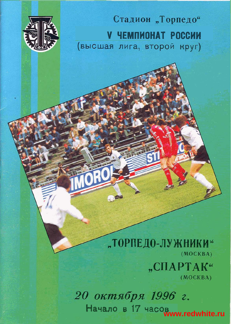

Стадион "Торпедо" **V ЧЕМПИОНАТ РОССИИ** (высшая лига, второй круг)

01:1

# "ТОРПЕДО-ЛУЖНИКИ<sup>«</sup>  $(MOCKBA)$ "СПАРТАК"

 $(MOCKBA)$ 

20 октября 1996 г. Начало в 17 часов<br>www.redwhite.ru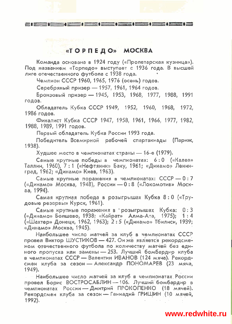## «ТОРПЕДО» МОСКВА

31 - 1 - 1 - 1 - 1 - 1 - 1 - 1 - 1 -

Команда основана в 1924 году («Пролетарская кузница»). Под названием «Торпедо» выступает с 1936 года. В высшей лиге отечественного футбола с 1938 года.

Чемпион СССР 1960, 1965, 1976 (осень) годов.

ar Eng

Серебряный призер - 1957, 1961, 1964 годов.

6p0~30~bl~ npw3ep-1945, 1953, 1968, 1977, 1988, 1991 roaos.

Обладатель Кубка СССР 1949, 1952, 1960, 1968, 1972, 1986 годов.

Финалист Кубка СССР 1947, 1958, 1961, 1966, 1977, 1982, 1988, 1989, 1991 roaos.

Первый обладатель Кубка России 1993 года.

Победитель Всемирной рабочей спартакиады (Париж, 1938).

Худшее место в чемпионатах страны - 16-е (1979).

Самые крупные победы в чемпионатах: 6:0 («Калев» Таллин, 1960), 7: 1 («Нефтяник» Баку, 1961; «Динамо» Ленин-<br>град, 1962; «Динамо» Киев, 1963).<br>- - Самые крупные поражения в чемпионатах: СССР — 0 : 7<br><sup>1</sup> «Лицамо» Москва, 1948). Росски - 0 · 8 («Покомоткв» Москград, 1962; «Динамо» Киев, 1963).

(«Динамо» Москва, 1948), России -0:8 («Локомотив» Москoa, 1994).

Самая крупная победа в розыгрышах Кубка 8: 0 («Трудовые резервы» Курск, 1961).

Ca~ble KpynHble nopameHun B ' pO3blrpblWaX Ky6~a: **0** : 3 («Динамо» Болшево, 1938; «Кайрат» Алма-Ата, 1975); 1:4 («Шахтер» Донецк, 1962, 1963); 2:5 («Динамо» Тбилиси, 1939; «Динамо» Москва, 1945).

Наибольшее число матчей за клуб в чемпионатах СССР провел Виктор ШУСТИКОВ - 427. Он же является рекордсменом отечественного футбола по количеству матчей без единого пропуска или замены - 253. Лучший бомбардир клуба в чемпионатах СССР — Валентин ИВАНОВ (124 мяча). Рекордсмен клуба за сезон — Александр ПОНОМАРЕВ (23 мяча, 1949).

Наибольшее число матчей за клуб в чемпионатах России 1949).<br>— Наибольшее число матчей за клуб в чемпионатах России.<br>провел Борис ВОСТРОСАБЛИН — 106, Лучший бомбардир в<br>помечанатах Воссии - Лимтрий ПРОКОПЕНКО. (18 мяняй). – Наибольшее число матчей за клуб в чемпионатах России<br>провел Борис ВОСТРОСАБЛИН — 106. Лучший бомбардир в<br>чемпионатах России — Дмитрий ПРОКОПЕНКО (18 мячей).<br>Вокорлененных клуба за сезон — Генналий ГРИШИН (10 неной Рекордсмен клуба за сезон - Геннадий ГРИШИН (10 мячей, 1992).

## **www.redwhite.ru**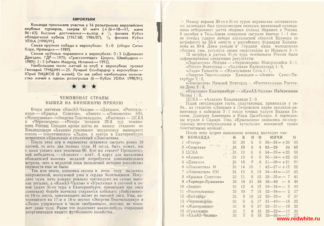#### **ЕВРОКУБКИ**

Команда принимала участие в 16 розыгрышах европейских клубных турниров, сыграв 61 матч  $(+26=18-17, m$ ячи 86:63). Высшие достижения - выход в  $\frac{1}{4}$  финала Кубка обладателей кубков (1967/68; 1986/87), 1/4 финала Кубка УЕФА (1990/91).

Самая крупная победа в еврокубках: 5:0 («Корк Сити» Корк, Ирландия — 1989).

Самые крупные поражения в еврокубках: 0:3 («Динамо» Дрезден, ГДР - 1975; «Грассхопперс» Цюрих, Швейцария -1989); 2:5 («Реал» Мадрид, Испания — 1992).

Наибольшее число матчей за клуб в еврокубках провел Геннадий ГРИШИН - 25. Лучший бомбардир в еврокубках-Юрий ТИШКОВ (8 мячей). Он же забил наибольшее количество мячей в одном розыгрыше (6-Кубок УЕФА 1990/91).

## ● - - - - - - - → - → - → <del>→</del> → <del>→</del>

### ЧЕМПИОНАТ СТРАНЫ ВЫШЕЛ НА ФИНИШНУЮ ПРЯМУЮ

 $\mathcal{F}^{\mu\nu}{}_{\mu\nu}$  (2)

Вчера матчами «КамАЗ-Чаллы» - «Динамо», «Ростсельмаш» - «Крылья Советов», «Зенит» - «Локомотив» НН, «Жемчужина»— «Энергия-Текстильщик», «Балтика» — ЦСКА и «Черноморец» - «Ротор» начался 32-й тур чемпионата России. Сегодня кроме матча на нашем сталионе во Владикавказе «Алания» принимает неудачника нынешнего сезона - тольяттинскую «Ладу», а завтра в Екатеринбурге встретятся «Уралмаш» и столичный «Локомотив».

После этих игр в первенстве останется сыграть ровно 18 матчей, то есть два полных тура. И тогда, быть может, мы с вами узнаем имя чемпиона-96. Кто им станет? Прошлогодний победитель - «Алания» - или?.. А вдруг для выявления обладателей золотых медалей потребуется дополнительная встреча, чего в недолгой пока пятилетней истории российских первенств еще не было.

Так или иначе, концовка сезона в этом году выдалась напряженной, волнующей умы и сердца болельщиков. Посудите сами, пять команд реально претендуют на самые высокие регалии, а «КамАЗ-Чаллы» и «Уралмаш» в заочной и очной (матч 31-го тура в Екатеринбурге, принесший три очка хозяевам) борьбе всячески стараются избежать убийственного 16-го места, означающего вылет из высшей лиги. Увы, находящимся на 17-м и 18-м местах «Энергии-Текстильщику» и «Ладе» удержаться в числе «избранных», похоже, не поможет даже чудо. Разве что подоспеет какая-нибудь очередная реорганизация нашего футбольного хозяйства... 

А Между иврами 30-го и 31-го туров первенства составителями календаря был предусмотрен перерыв, вызванный проведением отборочного матча сборных команд Израиля и России. 9 октября в Тель-Авиве соперники сыграли вничью 1:1 после точных ударов либеро израильской сборной Брумера со штрафного на 63-й минуте и российского форварда Колыванова на 80-й. Днем раньше в Герцлии наша молодежная сборная, увы, уступила своим сверстникам из Израиля 0:1.

12 октября в матчах 31-го тура чемпионата России были зафиксированы следующие результаты:

«Локомотив» Москва - «Черноморец» Новороссийск 3:1. «Ротор» Волгоград — «Балтика» Калининград 1:0,

«Лада» Тольятти - «Жемчужина» Сочи 1:1.

«Энергия-Текстильщик» Камышин - «Зенит» Санкт-Пе $neo$  over  $2:0$ .

«Локомотив» Нижний Новгород - «Ростсельмаш» Ростовна-Дону 2:3.

«Уралмаш» Екатеринбург — «КамАЗ-Чаллы» Набережные Челны 1:0.

ЦСКА — «Алания» Владикавказ 2:0.

Наши сегодняшние гости. спартаковцы, принимали у себя... на стадионе «Динамо» в Петровском парке земляков-динамовцев и победили 3:1 после точных ударов Вадима Евсеева, Дмитрия Аленичева и Ильи Цымбаларя. А торпедовцы играли в Самаре. Увы, «Крылышки» оказались по-спортивному негостеприимными и «угостили» москвичей тремя безответными мячами ...

После этих встреч положение команд выглядит так:

| M              | КОМАНДА ::        | $\mathbf{M}$           | B            | Н              |                  | МЯЧИ                           | O.              |
|----------------|-------------------|------------------------|--------------|----------------|------------------|--------------------------------|-----------------|
|                | $\propto$ Porop»  | 3 <sub>1</sub>         | 20           | 6              | $5^{\circ}$      | $56 - 24 = +28$                | 66              |
|                | 2 «Спартак»       | $\frac{31}{2}$         | 19           | $8 -$          | $\frac{1}{2}$    | $63 - 29$<br>34                | 65              |
|                | 3 ЦСКА            | .31.                   | 19           | 6 <sup>1</sup> | $6^{\circ}$      | $54 - 29 = +25$                | 63              |
|                | «Алания»          | $-31$                  | 19           | $6 -$          | 6 <sub>1</sub>   | $56 - 34 = +22$                | 63              |
|                | «Динамо»          | 31                     | $-18.$       |                |                  | $\overline{6}$ . 6 51-30 = +21 | $-61$           |
| 6              | «Локомотив» М     | $\degree$ 31 $\degree$ | 14           | 10             | -7 -             | $42 - 27 = +15$                | 52              |
|                | «Локомотив» НН    | 31                     | 12           | 6 <sub>1</sub> | 13               | $34 - 44 = -10$                | 42              |
| 8              | «Крылья Советов»  | 31                     | $\mathbb{1}$ | 8 <sup>1</sup> | 12 <sup>2</sup>  | $28 - 35 = -7$                 | 41              |
| $\overline{9}$ | «Тормедо-Лужники» | 31                     | 10           | 11             | 10               | $36 - 40 - 4$                  | 41              |
| 10             | «Зенит»           | 31                     | 12           | 4              | 15               | $29 - 34 = -5$                 | 40              |
|                | «Ростсельмаш»     | 3T                     | 10           | 7              | 14               | $52 - 54 = -2$                 | 37              |
|                | 12 «Балтика»      | 31                     | 9            | 10.            | 12 <sup>7</sup>  | $33 - 33 =$<br>$\theta$        | 37              |
|                | 13 «Черноморец»   | 31                     | 9            | $\overline{5}$ | .17              | $31 - 49 = -18$                | 32.             |
|                | 14 «Жемчужина»    | 31                     | 9.           | 5              | 17 <sup>17</sup> | $32 - 51 = -19$                | 32              |
|                | 15 «Уралмаш»      | 31                     | 7            | $9 -$          | 15               | $35 - 52 = -17$                | 30              |
| 16             | «КамАЗ-Чалины»    | 31                     | 7            | 6              | 18               | $33 - 50 = -17$                | 27              |
|                |                   |                        |              |                |                  |                                | www.redwhite.ru |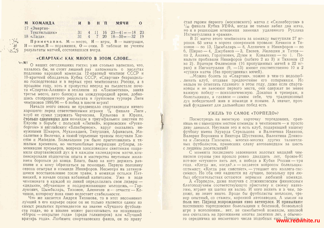| М КОМАНДА    |  |  | и в н п мячи о |  |
|--------------|--|--|----------------|--|
| 17 «Энергия- |  |  |                |  |

Текстильщик» 31 18 «Лада»  $31 \t 4 \t 7 \t 20 \t 18 - 50 = -32 \t 19$ 

Примечание. М - место, И - игры, В - выигрыши,  $H$  — ничьи,  $\Pi$  — поражения,  $0$  — очки. В таблице не учтены результаты матчей, состоявшихся вчера.

 $4$  $\frac{11}{2}$   $16 \quad 23 - 41 = -18 \quad 23$ 

#### «СПАРТАК»! КАК МНОГО В ЭТОМ СЛОВЕ...

AN THE О наших сегодняшних гостях уже столько написано, что, казалось бы, не стоит лишний раз напоминать о заслугах подлинно народной команды. 12-кратный чемпион СССР и 10-кратный обладатель Кубка СССР, «Спартак» безраздельно господствовал и в первых трех чемпионатах России, а в прошлом году, хоть и пропустил вперед на пьедестале почета «Спартак-Аланию» и земляков из «Локомотива», заняв третье место, зато блеснул на международной арене, добившись стопроцентного результата в групповом турнире Лиги чемпионов 1995/96 - 6 побед в шести играх!

Начало этого сезона не предвещало спартаковцам ничего хорошего: перед ответственными играми  $\frac{1}{4}$  финала Лиги. клуб не сумел удержать Черчесова, Кулькова и Юрана, столько сделавших для команды в триумфальном шествии по Европе в борьбе с польской «Легией», норвежским «Русенборгом» и английским «Блэкберном», вдруг оказались ненужными Шмаров, Мухамадиев, Тяпушкин, Афанасьев, Масалитин и Величко, а зимой серьезные травмы получили Хлестов и Мамедов. Болельщики уж было приготовились к тяжелым временам, но честолюбивые вчерашние дублеры, заменившие премьеров, вопреки злословящим скептикам сохранили спартаковский дух и в каждом календарном матче компенсировали недостаток опыта и мастерства неуемным желанием бороться до конца. Благо, было на кого держать равнение и к кому обращаться за помощью. Первую половину сезона отыграл в команде Никифоров. Несмотря на затянувшееся восстановление после травм, в команде остался Пятницкий, в начале сезона избанный капитаном. Уже в ходе чемпионата в каждой из линий определились свои лидеры -«дядьки», обучающие и поддерживающие молодежь. - Горлукович, Цымбаларь, Тихонов, Аленичев и - отчасти - Кечинов, которому пока явно недостает стабильности.

Что же касается Андрея Тихонова, то в этот несомиенно лучший в его карьере сезон он не только является одним из самых реальных претендентов на звание «Лучшего футболиста года», но и вполне может рассчитывать на номинацию «Игрок - открытие года» (среди голкиперов) или «Лучший вратарь года». Любимец спартаковских фанов, он по праву стал героем первого (московского) матча с «Силкеборгом» в  $\frac{1}{32}$  финала Кубка УЕФА, когда не только забил два мяча, но и в решающие мгновения заменил удаленного Руслана Нигматуллина в «рамке».

В 31 матче этого чемпионата за команду выступили 27 игроков. 63 мяча в ворота соперников провели: Кечинов и Тихонов - по 13, Цымбаларь - 8, Аленичев и Никифоров - по 6, Ширко — 4, Джубанов — 3, Евсеев, Мелешин и Титов по 2. Ананко, Горлукович, Дуюн и Коваленко - по 1. Пенальти пробивали Никифоров (забито 2 из 3) и Тихонов (2 из 2). Вратари Филимонов (16 пропущенных мячей в 22 играх) и Нигматуллин (9, -13) имеют соответственно 10 и 2 «сухих» матча (без пропущенных мячей).

... Можно болеть за «Спартак», можно в чем-то недолюбливать клуб, отдавая предпочтение его соперникам. Но нельзя не отметить главного: в этом году, даже если спартаковцы и не завоюют первого места, они одержат не менее важную победу - психологическую. Доказав и тренерам, и болельщикам, а главное - самим, себе, что традиционный дух победителей жив в команде и поныне. А значит, прочный фундамент для дальнейших побед есть.

#### УЖЕЛЬ ТО САМОЕ «ТОРПЕДО»?

Посмотришь на визитную карточку торпедовцев, срав- $\sim$ нишь ее с нынешним местом команды в чемпионате - и просто диву даешься. Неужели это и есть клуб, подаривший нашему футболу имена Эдуарда Стрельцова и Валентина Иванова, Валерия Воронина и Виктора Шустикова, Валентина Денисова и Леонида Пахомова, многих-многих других талантливых футболистов, принесших славу автозаводцам за шесть с лишним десятилетий?

С момента последнего завоевания золотых медалей чемпионов страны уже прошло ровно двадцать лет, бронзе-91 вот-вот «стукнет» пять лет, а победе в Кубке России - три года, «Когда же, когда?..» — задается вопросом болельщикоптимист: «Когда рак свистнет», — утешает его коллега-пессимист. Но оба они надеются на лучшее, поскольку при любых обстоятельствах остаются верными любимой команде.

А «Торпедо», даже получив с лужниковским финансовым благополучием соответствующую приставку к своему названию, играет ни шатко ни валко. И кого винить и в чем, похоже, не знает никто. Вроде бы футболисты неплохие, тренер опытный со стажем, коренной автозаводец. А мысли на поле нет. Период возрождения явно затянулся. И привыкают постепенно торпедовские болельщики к безликой, безвольной игре в исполнении... нет, не самобытной команды, каковой она считалась на протяжении многих десятков лет, а обычного середнячка из несметного числа подобных еми Потрай white.ru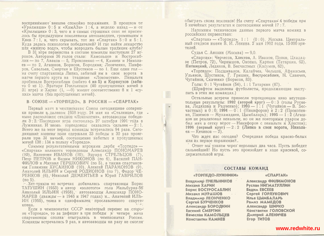воспринимают внешне спокойно поражения. В прошлом от «Уралмаша» 0:5 и «КамАЗа» 1:4, а неделю назад — и от «Крылышек» 0:3, чего и в самых страшных снах не приснилось бы предыдущим поколениям автозаводцев, громившим и Киев. 7:1, и, чего скрывать, тот же «Спартак»  $5:0$  и  $5:1$ . Куда делась психология победителей? И где найти лекарство нли «живую воду», чтобы возродить былые традиции клуба?

В 31 игре первенства в составе команды выступили 27 игроков. Авторами 36 голов стали: Камольцев и Востросаблин — по 7, Аваков — 5, Прокопенко — 4, Камнев и Николаев - по 2. Агашков, Борисов, Бородкин; Леонченко, Панферов, Савельев, Смертин и Шустиков - по 1. Еще один гол на счету спартаковца Липко, забитый им в свои ворота в матче первого круга на стадионе «Локомотив». Пенальти пробивали Востросаблин (забито 4 из 5) и Корнаухов (забито 0 из 1). Вратари Пчельников (40 пропущенных мячей в 31 игре) и Харин  $(1, -0)$  имеют соответственно 8 и 1 «сухих» матча (без пропущенных мячей).

#### $B$  COIO3E  $\rightarrow$  COPHELO», B POCCHH  $\rightarrow$  CHAPTAK»

Первый матч в чемпионатах Союза сегодняшние соперники провели в далеком 1938 году. 24 мая на «Сталинце», где ныне расположен стадион «Локомотив», автозаводцы победили 3:2. Последняя игра состоялась 27 октября 1991 года в Лужниках. И вновь торпедовцы оказались сильнее - - 2:1. Всего же за этот период команды встречались 94 раза. Сегоднящние хозяева поля одержали 33 победы и 30 раз проиграли при 31 ничьей, соотношение забитых и пропущенных мячей 138:134 в пользу «Торпедо».

Самыми результативными игроками дерби «Торпедо» -«Спартак» являются торпедовцы Александр ПОНОМАРЕВ (12), Валентин ИВАНОВ (10), Эдуард СТРЕЛЬЦОВ (7), Петр ПЕТРОВ и Вадим НИКОНОВ (по 6), Василий ПАН-ФИЛОВ и Михаил ГЕРШКОВИЧ (по 5), а также спартаковны Галимзян ХУСАИНОВ (10), Алексей ПАРАМОНОВ (9), Анатолий ИЛЬИН и Сергей РОДИОНОВ (по 7), Федор ЧЕ-РЕНКОВ (6), Николай ДЕМЕНТЬЕВ и Юрий ГАВРИЛОВ  $(D \cap 5)$ .

. Хет-триков во встречах добивались спартаковцы Борис ТАТУШИН (1953) и автор «золотого» гола Мельбурна-56 Анатолий ИЛЬИН (1958), автозаводцы Александр ПОНО-МАРЕВ (дважды — в 1946 и 1947 годах) и... Анатолий ИЛЬ-ИН (1955), тезка и однофамилец прославленного спарта ковна.

Если в чемпионатах СССР некоторый перевес на стороне «Торпедо», то за дефицит в три победы и четыре мяча спартаковцы сполна отыгрались в чемпионатах России. Команды встречались 9 раз, и автозаводцы ни разу не смогли обыграть своих земляков! На счету «Спартака» 4 победы при 5 ничейных результатах и соотношении мячей 17:7.

Напомним технические данные первого матча команд в российских первенствах:

«Спартак» - «Торпедо». 1:1 (0:0). Москва. Центральный стадион имени В. И. Ленина. 2 мая 1992 года. 15000 зрителей.

Судья С. Анохин (Москва) — 9,0.

«Спартак»: Черчесов, Хлестов, А. Иванов, Попов, Цхададзе (Петров, 72), Чернышов, Онопко, Карпин (Татаркин, 62), Пятницкий, Ледяхов, В. Бесчастных (Касумов, 62).

«Торпедо»: Подшивалов, Калайчев, Чельцов, Афанасьев, Ульянов, Шустиков, Г. Гришин, Востросаблин, Н. Савичев, Чугайнов, Скаченко (Борисов, 83).

Голы: 0:1 Чугайнов (54), 1:1 Татаркин (87).

(Шрифтом выделены футболисты, продолжающие выступать в этих же командах.)

Остальные встречи принесли торпедовцам явно неутешительные результаты: 1992 (второй круг) - 0:3 (голы Русяева, Ледяхова и Радченко); 1993 — 1:1 (Чугайнов — В. Бесчастных) и 0:0; 1994 — 0:1 (Никифоров) и 2:2 (Прокопенко, Паземов — Мухамадиев, Цымбаларь); 1995 — 1:2 (Агашков не реализовал пенальти, но он же повторным ударом добил мяч в сетку ворот — Никифоров с пенальти и Хлестов); 1996 (первый круг) - 2:2 (Липко в свои ворота, Никола- $EB - KeuHHOB - 2$ ).

Что ждет нас сегодня? Очередная победа краено-белых или их первое поражение?..

Ответ мы узнаем через неполных два часа. Пусть победит сильнейший! Но пусть это произойдет в ходе красивой, содержательной игры.

#### СОСТАВЫ КОМАНД

#### «ТОРПЕДО-ЛУЖНИКИ»

Владимир ПЧЕЛЬНИКОВ Михаил ХАРИН Борис ВОСТРОСАБЛИН Михаил МУРАШОВ Владимир ЛЕОНЧЕНКО Сергей БУРЧЕНКОВ Александр БОРОДКИН Евгений СМЕРТИН Вячеслав КАМОЛЬЦЕВ Константин КАМНЕВ

#### «СПАРТАК»

Александр ФИЛИМОНОВ Руслан НИГМАТУЛЛИН **Вадим EBCEEB** Сергей ГОРЛУКОВИЧ Илья ЦЫМБАЛАРЬ Рамиз МАМЕДОВ Александр ШИРКО Константин ГОЛОВСКОЙ Дмитрий АЛЕНИЧЕВ **Erop TMTOB** 

## www.redwhite.ru